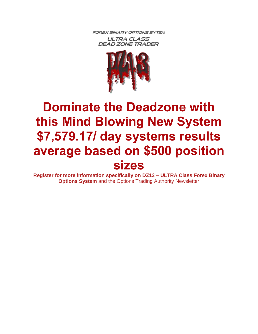**FOREX BINARY OPTIONS SYTEM ULTRA CLASS DEAD ZONE TRADER** 



# **Dominate the Deadzone with this Mind Blowing New System \$7,579.17/ day systems results average based on \$500 position sizes**

**Register for more information specifically on DZ13 – ULTRA Class Forex Binary Options System** and the Options Trading Authority Newsletter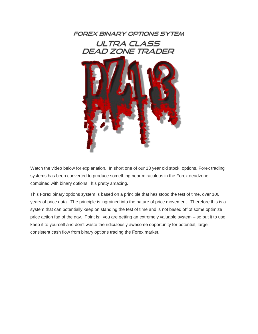

Watch the video below for explanation. In short one of our 13 year old stock, options, Forex trading systems has been converted to produce something near miraculous in the Forex deadzone combined with binary options. It's pretty amazing.

This Forex binary options system is based on a principle that has stood the test of time, over 100 years of price data. The principle is ingrained into the nature of price movement. Therefore this is a system that can potentially keep on standing the test of time and is not based off of some optimize price action fad of the day. Point is: you are getting an extremely valuable system – so put it to use, keep it to yourself and don't waste the ridiculously awesome opportunity for potential, large consistent cash flow from binary options trading the Forex market.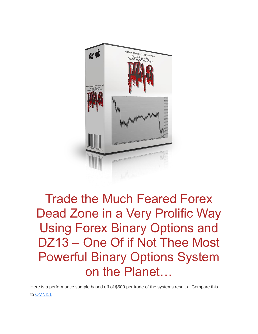

## Trade the Much Feared Forex Dead Zone in a Very Prolific Way Using Forex Binary Options and DZ13 – One Of if Not Thee Most Powerful Binary Options System on the Planet…

Here is a performance sample based off of \$500 per trade of the systems results. Compare this to [OMNI11](http://forexbinaryoptionsystems.com/omni11/)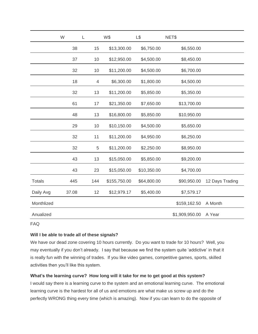|               | W     | L              | W\$          | L\$         | NET\$          |                 |
|---------------|-------|----------------|--------------|-------------|----------------|-----------------|
|               | 38    | 15             | \$13,300.00  | \$6,750.00  | \$6,550.00     |                 |
|               | 37    | 10             | \$12,950.00  | \$4,500.00  | \$8,450.00     |                 |
|               | 32    | 10             | \$11,200.00  | \$4,500.00  | \$6,700.00     |                 |
|               | 18    | $\overline{4}$ | \$6,300.00   | \$1,800.00  | \$4,500.00     |                 |
|               | 32    | 13             | \$11,200.00  | \$5,850.00  | \$5,350.00     |                 |
|               | 61    | 17             | \$21,350.00  | \$7,650.00  | \$13,700.00    |                 |
|               | 48    | 13             | \$16,800.00  | \$5,850.00  | \$10,950.00    |                 |
|               | 29    | 10             | \$10,150.00  | \$4,500.00  | \$5,650.00     |                 |
|               | 32    | 11             | \$11,200.00  | \$4,950.00  | \$6,250.00     |                 |
|               | 32    | $\,$ 5 $\,$    | \$11,200.00  | \$2,250.00  | \$8,950.00     |                 |
|               | 43    | 13             | \$15,050.00  | \$5,850.00  | \$9,200.00     |                 |
|               | 43    | 23             | \$15,050.00  | \$10,350.00 | \$4,700.00     |                 |
| <b>Totals</b> | 445   | 144            | \$155,750.00 | \$64,800.00 | \$90,950.00    | 12 Days Trading |
| Daily Avg     | 37.08 | 12             | \$12,979.17  | \$5,400.00  | \$7,579.17     |                 |
| Monthlized    |       |                |              |             | \$159,162.50   | A Month         |
| Anualized     |       |                |              |             | \$1,909,950.00 | A Year          |

FAQ

#### **Will I be able to trade all of these signals?**

We have our dead zone covering 10 hours currently. Do you want to trade for 10 hours? Well, you may eventually if you don't already. I say that because we find the system quite 'addictive' in that it is really fun with the winning of trades. If you like video games, competitive games, sports, skilled activities then you'll like this system.

### **What's the learning curve? How long will it take for me to get good at this system?**

I would say there is a learning curve to the system and an emotional learning curve. The emotional learning curve is the hardest for all of us and emotions are what make us screw up and do the perfectly WRONG thing every time (which is amazing). Now if you can learn to do the opposite of